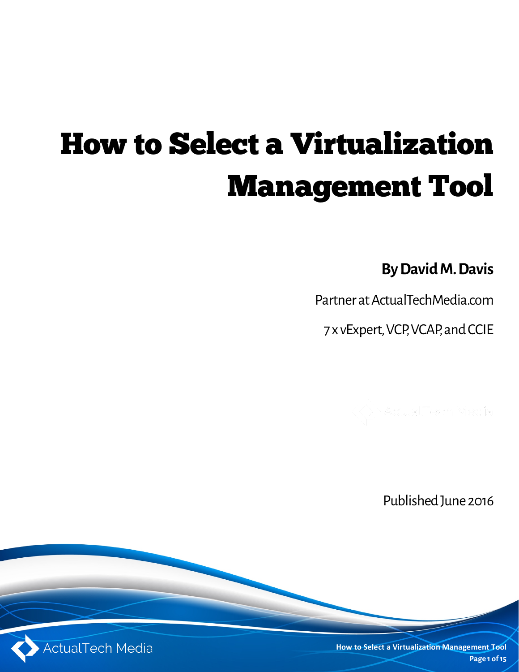# How to Select a Virtualization Management Tool

**By David M. Davis**

Partner at ActualTechMedia.com

7 x vExpert, VCP, VCAP, and CCIE



Published June 2016

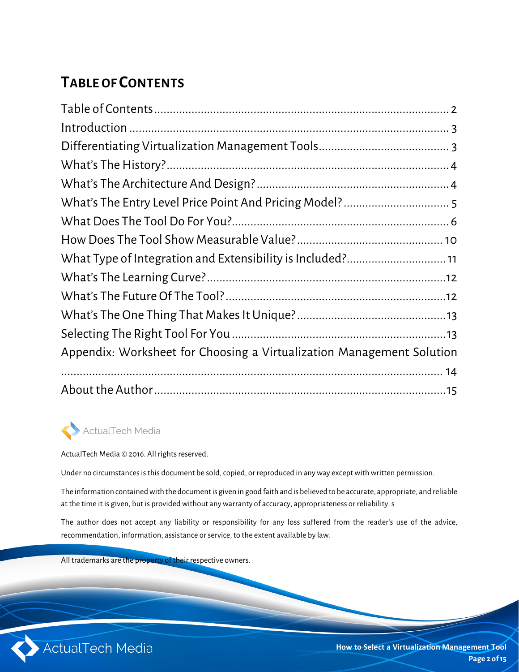## **TABLE OF CONTENTS**

| Appendix: Worksheet for Choosing a Virtualization Management Solution |  |
|-----------------------------------------------------------------------|--|
|                                                                       |  |
|                                                                       |  |
|                                                                       |  |

#### ActualTech Media

ActualTech Media © 2016. All rights reserved.

Under no circumstances is this document be sold, copied, or reproduced in any way except with written permission.

The information contained with the document is given in good faith and is believed to be accurate, appropriate, and reliable at the time it is given, but is provided without any warranty of accuracy, appropriateness or reliability. s

The author does not accept any liability or responsibility for any loss suffered from the reader's use of the advice, recommendation, information, assistance or service, to the extent available by law.

All trademarks are the property of their respective owners.

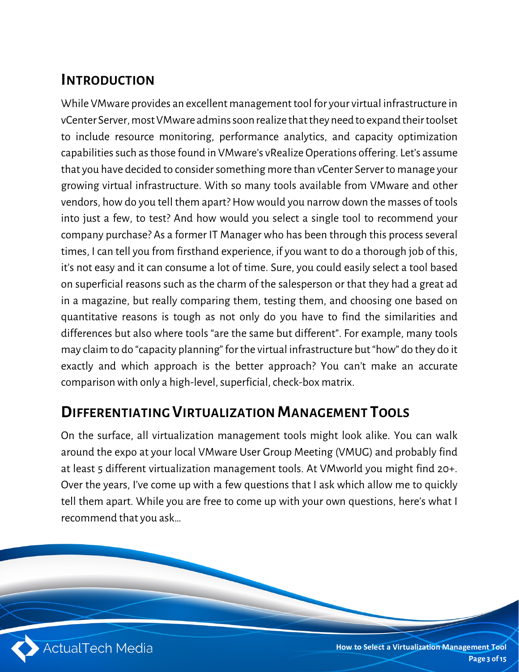## **INTRODUCTION**

While VMware provides an excellent management tool for your virtual infrastructure in vCenter Server, most VMware admins soon realize that they need to expand their toolset to include resource monitoring, performance analytics, and capacity optimization capabilities such as those found in VMware's vRealize Operations offering. Let's assume that you have decided to consider something more than vCenter Server to manage your growing virtual infrastructure. With so many tools available from VMware and other vendors, how do you tell them apart? How would you narrow down the masses of tools into just a few, to test? And how would you select a single tool to recommend your company purchase? As a former IT Manager who has been through this process several times, I can tell you from firsthand experience, if you want to do a thorough job of this, it's not easy and it can consume a lot of time. Sure, you could easily select a tool based on superficial reasons such as the charm of the salesperson or that they had a great ad in a magazine, but really comparing them, testing them, and choosing one based on quantitative reasons is tough as not only do you have to find the similarities and differences but also where tools "are the same but different". For example, many tools may claim to do "capacity planning" for the virtual infrastructure but "how" do they do it exactly and which approach is the better approach? You can't make an accurate comparison with only a high-level, superficial, check-box matrix.

#### **DIFFERENTIATING VIRTUALIZATION MANAGEMENT TOOLS**

On the surface, all virtualization management tools might look alike. You can walk around the expo at your local VMware User Group Meeting (VMUG) and probably find at least 5 different virtualization management tools. At VMworld you might find 20+. Over the years, I've come up with a few questions that I ask which allow me to quickly tell them apart. While you are free to come up with your own questions, here's what I recommend that you ask…

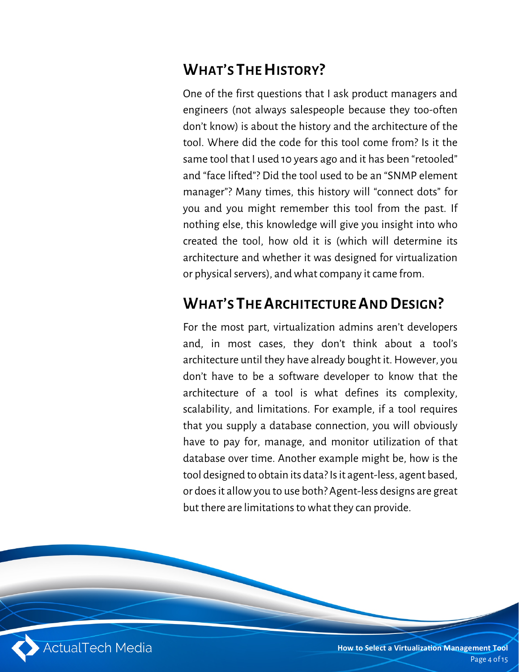## **WHAT'S THE HISTORY?**

One of the first questions that I ask product managers and engineers (not always salespeople because they too-often don't know) is about the history and the architecture of the tool. Where did the code for this tool come from? Is it the same tool that I used 10 years ago and it has been "retooled" and "face lifted"? Did the tool used to be an "SNMP element manager"? Many times, this history will "connect dots" for you and you might remember this tool from the past. If nothing else, this knowledge will give you insight into who created the tool, how old it is (which will determine its architecture and whether it was designed for virtualization or physical servers), and what company it came from.

## **WHAT'S THE ARCHITECTURE AND DESIGN?**

For the most part, virtualization admins aren't developers and, in most cases, they don't think about a tool's architecture until they have already bought it. However, you don't have to be a software developer to know that the architecture of a tool is what defines its complexity, scalability, and limitations. For example, if a tool requires that you supply a database connection, you will obviously have to pay for, manage, and monitor utilization of that database over time. Another example might be, how is the tool designed to obtain its data? Is it agent-less, agent based, or does it allow you to use both? Agent-less designs are great but there are limitations to what they can provide.

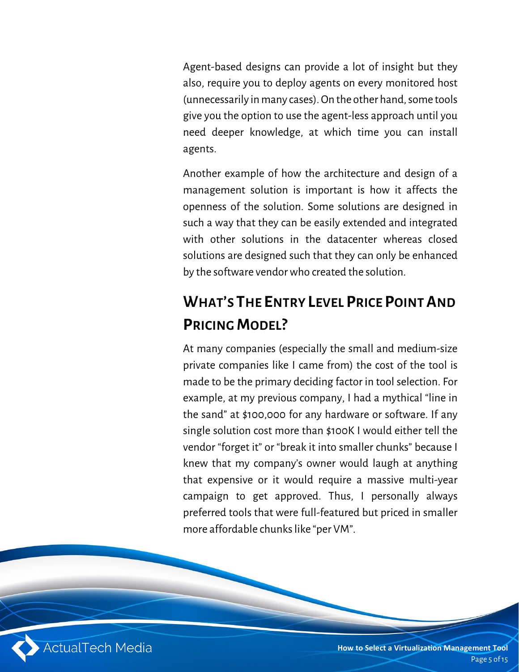Agent-based designs can provide a lot of insight but they also, require you to deploy agents on every monitored host (unnecessarily in many cases). On the other hand, some tools give you the option to use the agent-less approach until you need deeper knowledge, at which time you can install agents.

Another example of how the architecture and design of a management solution is important is how it affects the openness of the solution. Some solutions are designed in such a way that they can be easily extended and integrated with other solutions in the datacenter whereas closed solutions are designed such that they can only be enhanced by the software vendor who created the solution.

# **WHAT'S THE ENTRY LEVEL PRICE POINT AND PRICING MODEL?**

At many companies (especially the small and medium-size private companies like I came from) the cost of the tool is made to be the primary deciding factor in tool selection. For example, at my previous company, I had a mythical "line in the sand" at \$100,000 for any hardware or software. If any single solution cost more than \$100K I would either tell the vendor "forget it" or "break it into smaller chunks" because I knew that my company's owner would laugh at anything that expensive or it would require a massive multi-year campaign to get approved. Thus, I personally always preferred tools that were full-featured but priced in smaller more affordable chunks like "per VM".

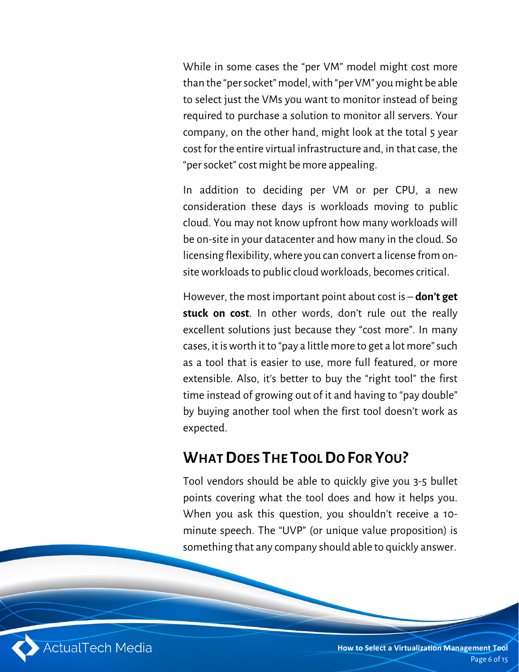While in some cases the "per VM" model might cost more than the "per socket" model, with "per VM" youmight be able to select just the VMs you want to monitor instead of being required to purchase a solution to monitor all servers. Your company, on the other hand, might look at the total 5 year cost for the entire virtual infrastructure and, in that case, the "per socket" cost might be more appealing.

In addition to deciding per VM or per CPU, a new consideration these days is workloads moving to public cloud. You may not know upfront how many workloads will be on-site in your datacenter and how many in the cloud. So licensing flexibility, where you can convert a license from onsite workloads to public cloud workloads, becomes critical.

However, the most important point about cost is – **don't get stuck on cost**. In other words, don't rule out the really excellent solutions just because they "cost more". In many cases, it is worth it to "pay a little more to get a lot more" such as a tool that is easier to use, more full featured, or more extensible. Also, it's better to buy the "right tool" the first time instead of growing out of it and having to "pay double" by buying another tool when the first tool doesn't work as expected.

#### **WHAT DOES THE TOOL DO FOR YOU?**

Tool vendors should be able to quickly give you 3-5 bullet points covering what the tool does and how it helps you. When you ask this question, you shouldn't receive a 10 minute speech. The "UVP" (or unique value proposition) is something that any company should able to quickly answer.



**How to Select a Virtualization Management Tool** Page 6 of 15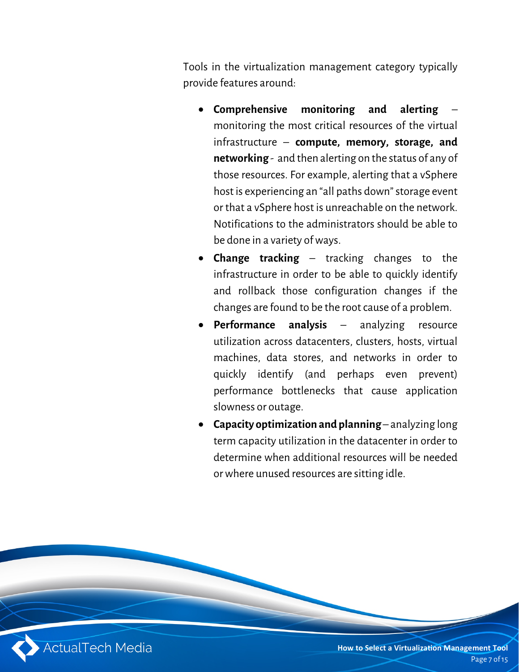Tools in the virtualization management category typically provide features around:

- **Comprehensive monitoring and alerting** monitoring the most critical resources of the virtual infrastructure – **compute, memory, storage, and networking** - and then alerting on the status of any of those resources. For example, alerting that a vSphere host is experiencing an "all paths down" storage event or that a vSphere host is unreachable on the network. Notifications to the administrators should be able to be done in a variety of ways.
- **Change tracking** tracking changes to the infrastructure in order to be able to quickly identify and rollback those configuration changes if the changes are found to be the root cause of a problem.
- **Performance analysis** analyzing resource utilization across datacenters, clusters, hosts, virtual machines, data stores, and networks in order to quickly identify (and perhaps even prevent) performance bottlenecks that cause application slowness or outage.
- **Capacity optimization and planning** analyzing long term capacity utilization in the datacenter in order to determine when additional resources will be needed or where unused resources are sitting idle.

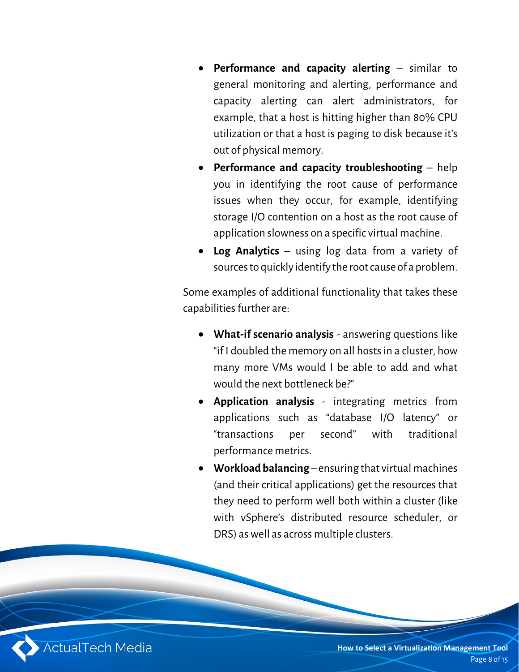- **Performance and capacity alerting**  similar to general monitoring and alerting, performance and capacity alerting can alert administrators, for example, that a host is hitting higher than 80% CPU utilization or that a host is paging to disk because it's out of physical memory.
- **Performance and capacity troubleshooting**  help you in identifying the root cause of performance issues when they occur, for example, identifying storage I/O contention on a host as the root cause of application slowness on a specific virtual machine.
- **Log Analytics**  using log data from a variety of sources to quickly identify the root cause of a problem.

Some examples of additional functionality that takes these capabilities further are:

- **What-if scenario analysis** answering questions like "if I doubled the memory on all hosts in a cluster, how many more VMs would I be able to add and what would the next bottleneck be?"
- **Application analysis** integrating metrics from applications such as "database I/O latency" or "transactions per second" with traditional performance metrics.
- **Workload balancing** ensuring that virtual machines (and their critical applications) get the resources that they need to perform well both within a cluster (like with vSphere's distributed resource scheduler, or DRS) as well as across multiple clusters.

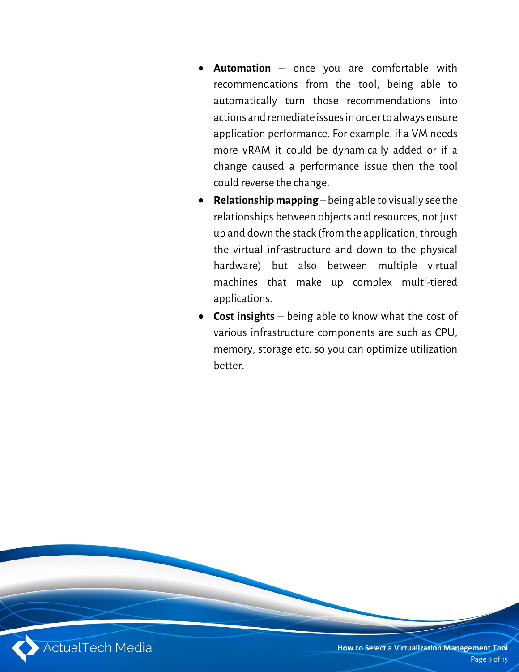- **Automation** once you are comfortable with recommendations from the tool, being able to automatically turn those recommendations into actions and remediate issues in order to always ensure application performance. For example, if a VM needs more vRAM it could be dynamically added or if a change caused a performance issue then the tool could reverse the change.
- **Relationship mapping** being able to visually see the relationships between objects and resources, not just up and down the stack (from the application, through the virtual infrastructure and down to the physical hardware) but also between multiple virtual machines that make up complex multi-tiered applications.
- **Cost insights**  being able to know what the cost of various infrastructure components are such as CPU, memory, storage etc. so you can optimize utilization better.

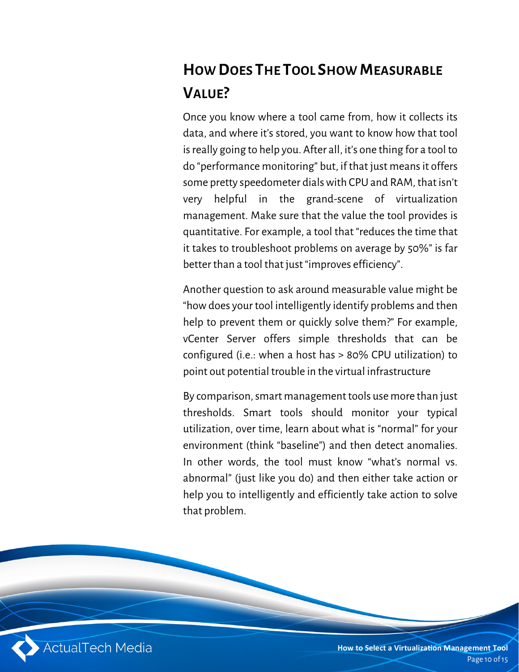# **HOW DOES THE TOOL SHOW MEASURABLE VALUE?**

Once you know where a tool came from, how it collects its data, and where it's stored, you want to know how that tool is really going to help you. After all, it's one thing for a tool to do "performance monitoring" but, if that just means it offers some pretty speedometer dials with CPU and RAM, that isn't very helpful in the grand-scene of virtualization management. Make sure that the value the tool provides is quantitative. For example, a tool that "reduces the time that it takes to troubleshoot problems on average by 50%" is far better than a tool that just "improves efficiency".

Another question to ask around measurable value might be "how does your tool intelligently identify problems and then help to prevent them or quickly solve them?" For example, vCenter Server offers simple thresholds that can be configured (i.e.: when a host has > 80% CPU utilization) to point out potential trouble in the virtual infrastructure

By comparison, smart management tools use more than just thresholds. Smart tools should monitor your typical utilization, over time, learn about what is "normal" for your environment (think "baseline") and then detect anomalies. In other words, the tool must know "what's normal vs. abnormal" (just like you do) and then either take action or help you to intelligently and efficiently take action to solve that problem.

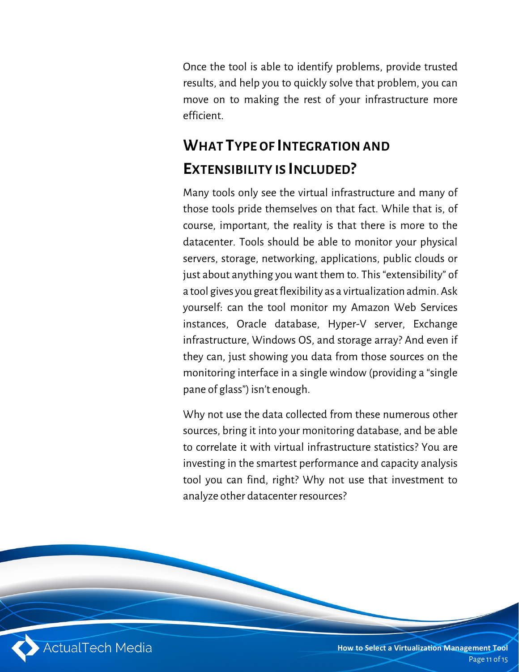Once the tool is able to identify problems, provide trusted results, and help you to quickly solve that problem, you can move on to making the rest of your infrastructure more efficient.

# **WHAT TYPE OF INTEGRATION AND EXTENSIBILITY IS INCLUDED?**

Many tools only see the virtual infrastructure and many of those tools pride themselves on that fact. While that is, of course, important, the reality is that there is more to the datacenter. Tools should be able to monitor your physical servers, storage, networking, applications, public clouds or just about anything you want them to. This "extensibility" of a tool gives you great flexibility as a virtualization admin. Ask yourself: can the tool monitor my Amazon Web Services instances, Oracle database, Hyper-V server, Exchange infrastructure, Windows OS, and storage array? And even if they can, just showing you data from those sources on the monitoring interface in a single window (providing a "single pane of glass") isn't enough.

Why not use the data collected from these numerous other sources, bring it into your monitoring database, and be able to correlate it with virtual infrastructure statistics? You are investing in the smartest performance and capacity analysis tool you can find, right? Why not use that investment to analyze other datacenter resources?

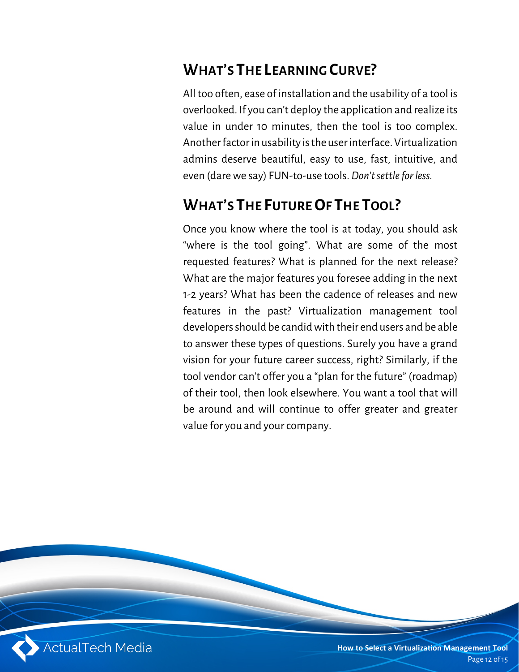## **WHAT'S THE LEARNING CURVE?**

All too often, ease of installation and the usability of a tool is overlooked. If you can't deploy the application and realize its value in under 10 minutes, then the tool is too complex. Another factor in usability is the user interface. Virtualization admins deserve beautiful, easy to use, fast, intuitive, and even (dare we say) FUN-to-use tools. *Don't settle for less.*

#### **WHAT'S THE FUTURE OF THE TOOL?**

Once you know where the tool is at today, you should ask "where is the tool going". What are some of the most requested features? What is planned for the next release? What are the major features you foresee adding in the next 1-2 years? What has been the cadence of releases and new features in the past? Virtualization management tool developers should be candid with their end users and be able to answer these types of questions. Surely you have a grand vision for your future career success, right? Similarly, if the tool vendor can't offer you a "plan for the future" (roadmap) of their tool, then look elsewhere. You want a tool that will be around and will continue to offer greater and greater value for you and your company.

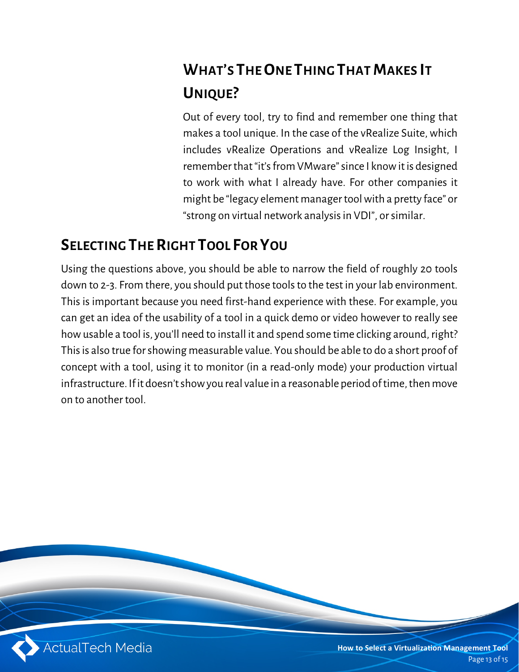# **WHAT'S THE ONE THING THAT MAKES IT UNIQUE?**

Out of every tool, try to find and remember one thing that makes a tool unique. In the case of the vRealize Suite, which includes vRealize Operations and vRealize Log Insight, I remember that "it's from VMware" since I know it is designed to work with what I already have. For other companies it might be "legacy element manager tool with a pretty face" or "strong on virtual network analysis in VDI", or similar.

## **SELECTING THE RIGHT TOOL FOR YOU**

Using the questions above, you should be able to narrow the field of roughly 20 tools down to 2-3. From there, you should put those tools to the test in your lab environment. This is important because you need first-hand experience with these. For example, you can get an idea of the usability of a tool in a quick demo or video however to really see how usable a tool is, you'll need to install it and spend some time clicking around, right? This is also true for showing measurable value. You should be able to do a short proof of concept with a tool, using it to monitor (in a read-only mode) your production virtual infrastructure. If it doesn't show you real value in a reasonable period of time, then move on to another tool.

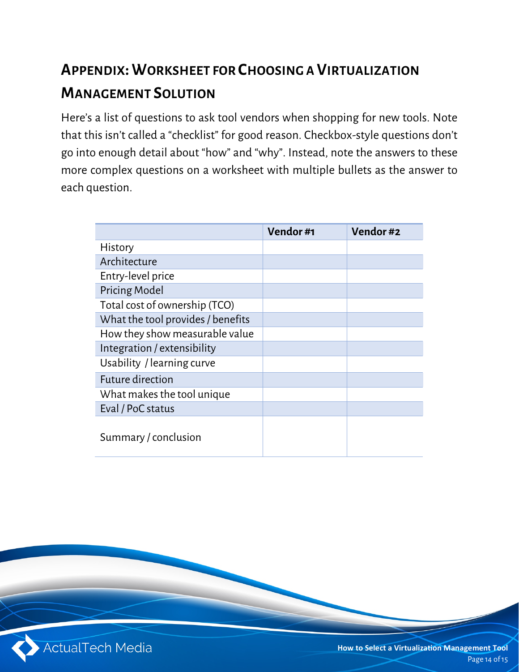# **APPENDIX:WORKSHEET FOR CHOOSING A VIRTUALIZATION MANAGEMENT SOLUTION**

Here's a list of questions to ask tool vendors when shopping for new tools. Note that this isn't called a "checklist" for good reason. Checkbox-style questions don't go into enough detail about "how" and "why". Instead, note the answers to these more complex questions on a worksheet with multiple bullets as the answer to each question.

|                                   | Vendor#1 | Vendor#2 |
|-----------------------------------|----------|----------|
| History                           |          |          |
| Architecture                      |          |          |
| Entry-level price                 |          |          |
| <b>Pricing Model</b>              |          |          |
| Total cost of ownership (TCO)     |          |          |
| What the tool provides / benefits |          |          |
| How they show measurable value    |          |          |
| Integration / extensibility       |          |          |
| Usability / learning curve        |          |          |
| Future direction                  |          |          |
| What makes the tool unique        |          |          |
| Eval / PoC status                 |          |          |
| Summary / conclusion              |          |          |